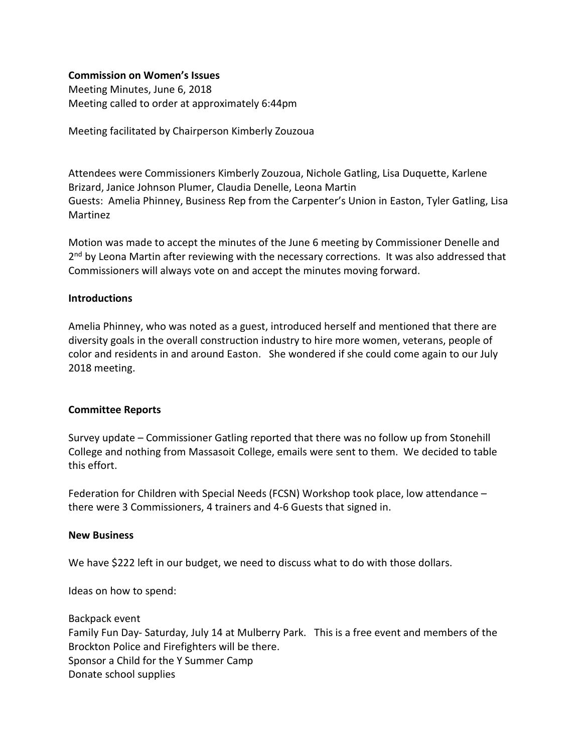# **Commission on Women's Issues**

Meeting Minutes, June 6, 2018 Meeting called to order at approximately 6:44pm

Meeting facilitated by Chairperson Kimberly Zouzoua

Attendees were Commissioners Kimberly Zouzoua, Nichole Gatling, Lisa Duquette, Karlene Brizard, Janice Johnson Plumer, Claudia Denelle, Leona Martin Guests: Amelia Phinney, Business Rep from the Carpenter's Union in Easton, Tyler Gatling, Lisa Martinez

Motion was made to accept the minutes of the June 6 meeting by Commissioner Denelle and  $2<sup>nd</sup>$  by Leona Martin after reviewing with the necessary corrections. It was also addressed that Commissioners will always vote on and accept the minutes moving forward.

# **Introductions**

Amelia Phinney, who was noted as a guest, introduced herself and mentioned that there are diversity goals in the overall construction industry to hire more women, veterans, people of color and residents in and around Easton. She wondered if she could come again to our July 2018 meeting.

# **Committee Reports**

Survey update – Commissioner Gatling reported that there was no follow up from Stonehill College and nothing from Massasoit College, emails were sent to them. We decided to table this effort.

Federation for Children with Special Needs (FCSN) Workshop took place, low attendance – there were 3 Commissioners, 4 trainers and 4-6 Guests that signed in.

# **New Business**

We have \$222 left in our budget, we need to discuss what to do with those dollars.

Ideas on how to spend:

Backpack event Family Fun Day- Saturday, July 14 at Mulberry Park. This is a free event and members of the Brockton Police and Firefighters will be there. Sponsor a Child for the Y Summer Camp Donate school supplies